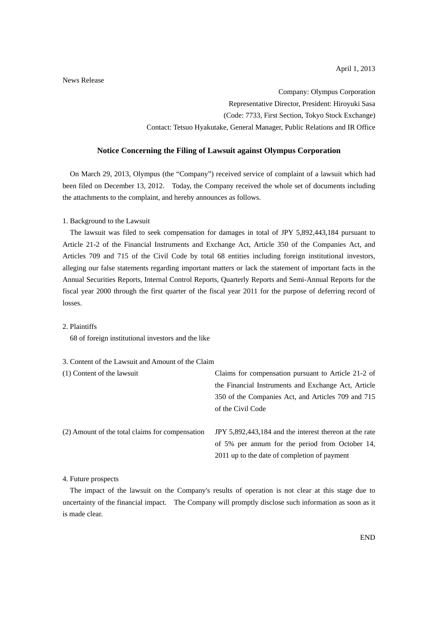News Release

Company: Olympus Corporation Representative Director, President: Hiroyuki Sasa (Code: 7733, First Section, Tokyo Stock Exchange) Contact: Tetsuo Hyakutake, General Manager, Public Relations and IR Office

#### **Notice Concerning the Filing of Lawsuit against Olympus Corporation**

On March 29, 2013, Olympus (the "Company") received service of complaint of a lawsuit which had been filed on December 13, 2012. Today, the Company received the whole set of documents including the attachments to the complaint, and hereby announces as follows.

#### 1. Background to the Lawsuit

The lawsuit was filed to seek compensation for damages in total of JPY 5,892,443,184 pursuant to Article 21-2 of the Financial Instruments and Exchange Act, Article 350 of the Companies Act, and Articles 709 and 715 of the Civil Code by total 68 entities including foreign institutional investors, alleging our false statements regarding important matters or lack the statement of important facts in the Annual Securities Reports, Internal Control Reports, Quarterly Reports and Semi-Annual Reports for the fiscal year 2000 through the first quarter of the fiscal year 2011 for the purpose of deferring record of losses.

## 2. Plaintiffs

68 of foreign institutional investors and the like

#### 3. Content of the Lawsuit and Amount of the Claim

| (1) Content of the lawsuit                      | Claims for compensation pursuant to Article 21-2 of    |
|-------------------------------------------------|--------------------------------------------------------|
|                                                 | the Financial Instruments and Exchange Act, Article    |
|                                                 | 350 of the Companies Act, and Articles 709 and 715     |
|                                                 | of the Civil Code                                      |
| (2) Amount of the total claims for compensation | JPY 5,892,443,184 and the interest thereon at the rate |
|                                                 | of 5% per annum for the period from October 14,        |
|                                                 | 2011 up to the date of completion of payment           |

#### 4. Future prospects

The impact of the lawsuit on the Company's results of operation is not clear at this stage due to uncertainty of the financial impact. The Company will promptly disclose such information as soon as it is made clear.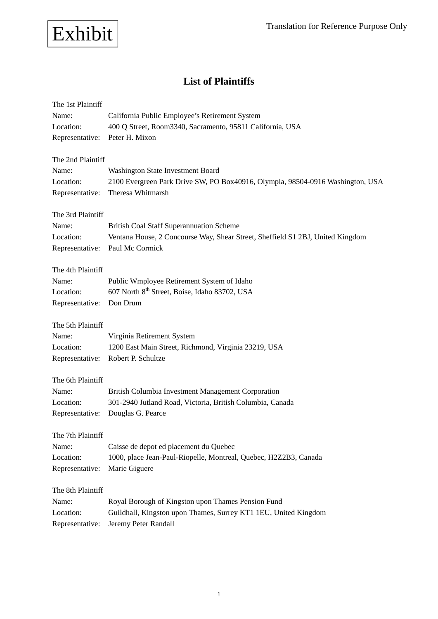

# **List of Plaintiffs**

| The 1st Plaintiff            |                                                                                         |
|------------------------------|-----------------------------------------------------------------------------------------|
| Name:                        | California Public Employee's Retirement System                                          |
| Location:                    | 400 Q Street, Room3340, Sacramento, 95811 California, USA                               |
| Representative:              | Peter H. Mixon                                                                          |
|                              |                                                                                         |
| The 2nd Plaintiff            |                                                                                         |
| Name:                        | Washington State Investment Board                                                       |
| Location:                    | 2100 Evergreen Park Drive SW, PO Box40916, Olympia, 98504-0916 Washington, USA          |
| Representative:              | Theresa Whitmarsh                                                                       |
|                              |                                                                                         |
| The 3rd Plaintiff            |                                                                                         |
| Name:                        | <b>British Coal Staff Superannuation Scheme</b>                                         |
| Location:                    | Ventana House, 2 Concourse Way, Shear Street, Sheffield S1 2BJ, United Kingdom          |
| Representative:              | Paul Mc Cormick                                                                         |
| The 4th Plaintiff            |                                                                                         |
| Name:                        | Public Wmployee Retirement System of Idaho                                              |
| Location:                    | 607 North 8 <sup>th</sup> Street, Boise, Idaho 83702, USA                               |
| Representative:              | Don Drum                                                                                |
|                              |                                                                                         |
|                              |                                                                                         |
|                              |                                                                                         |
| The 5th Plaintiff            |                                                                                         |
| Name:<br>Location:           | Virginia Retirement System                                                              |
| Representative:              | 1200 East Main Street, Richmond, Virginia 23219, USA<br>Robert P. Schultze              |
|                              |                                                                                         |
| The 6th Plaintiff            |                                                                                         |
| Name:                        | British Columbia Investment Management Corporation                                      |
| Location:                    | 301-2940 Jutland Road, Victoria, British Columbia, Canada                               |
| Representative:              | Douglas G. Pearce                                                                       |
|                              |                                                                                         |
| The 7th Plaintiff            |                                                                                         |
| Name:                        | Caisse de depot ed placement du Quebec                                                  |
| Location:                    | 1000, place Jean-Paul-Riopelle, Montreal, Quebec, H2Z2B3, Canada                        |
| Representative:              | Marie Giguere                                                                           |
|                              |                                                                                         |
| The 8th Plaintiff            |                                                                                         |
| Name:                        | Royal Borough of Kingston upon Thames Pension Fund                                      |
| Location:<br>Representative: | Guildhall, Kingston upon Thames, Surrey KT1 1EU, United Kingdom<br>Jeremy Peter Randall |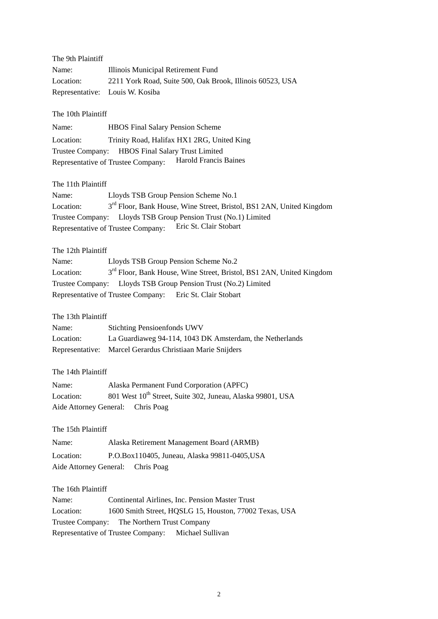| The 9th Plaintiff           |                                                                                  |
|-----------------------------|----------------------------------------------------------------------------------|
| Name:                       | Illinois Municipal Retirement Fund                                               |
| Location:                   | 2211 York Road, Suite 500, Oak Brook, Illinois 60523, USA                        |
| Representative:             | Louis W. Kosiba                                                                  |
|                             |                                                                                  |
| The 10th Plaintiff          |                                                                                  |
| Name:                       | <b>HBOS</b> Final Salary Pension Scheme                                          |
| Location:                   | Trinity Road, Halifax HX1 2RG, United King                                       |
| Trustee Company:            | <b>HBOS</b> Final Salary Trust Limited<br>Harold Francis Baines                  |
|                             | Representative of Trustee Company:                                               |
| The 11th Plaintiff          |                                                                                  |
| Name:                       | Lloyds TSB Group Pension Scheme No.1                                             |
| Location:                   | 3 <sup>rd</sup> Floor, Bank House, Wine Street, Bristol, BS1 2AN, United Kingdom |
|                             | Trustee Company: Lloyds TSB Group Pension Trust (No.1) Limited                   |
|                             | Eric St. Clair Stobart<br>Representative of Trustee Company:                     |
| The 12th Plaintiff          |                                                                                  |
| Name:                       | Lloyds TSB Group Pension Scheme No.2                                             |
| Location:                   | 3 <sup>rd</sup> Floor, Bank House, Wine Street, Bristol, BS1 2AN, United Kingdom |
|                             | Trustee Company: Lloyds TSB Group Pension Trust (No.2) Limited                   |
|                             | Representative of Trustee Company: Eric St. Clair Stobart                        |
|                             |                                                                                  |
| The 13th Plaintiff          |                                                                                  |
| Name:                       | <b>Stichting Pensioenfonds UWV</b>                                               |
| Location:                   | La Guardiaweg 94-114, 1043 DK Amsterdam, the Netherlands                         |
| Representative:             | Marcel Gerardus Christiaan Marie Snijders                                        |
| The 14th Plaintiff          |                                                                                  |
| Name:                       | Alaska Permanent Fund Corporation (APFC)                                         |
| Location:                   | 801 West 10 <sup>th</sup> Street, Suite 302, Juneau, Alaska 99801, USA           |
|                             | Aide Attorney General: Chris Poag                                                |
|                             |                                                                                  |
| The 15th Plaintiff          |                                                                                  |
| Name:                       | Alaska Retirement Management Board (ARMB)                                        |
| Location:                   | P.O.Box110405, Juneau, Alaska 99811-0405, USA                                    |
| Aide Attorney General:      | Chris Poag                                                                       |
|                             |                                                                                  |
| The 16th Plaintiff<br>Name: | Continental Airlines, Inc. Pension Master Trust                                  |
| Location:                   | 1600 Smith Street, HQSLG 15, Houston, 77002 Texas, USA                           |
|                             | Trustee Company: The Northern Trust Company                                      |
|                             | Representative of Trustee Company:<br>Michael Sullivan                           |
|                             |                                                                                  |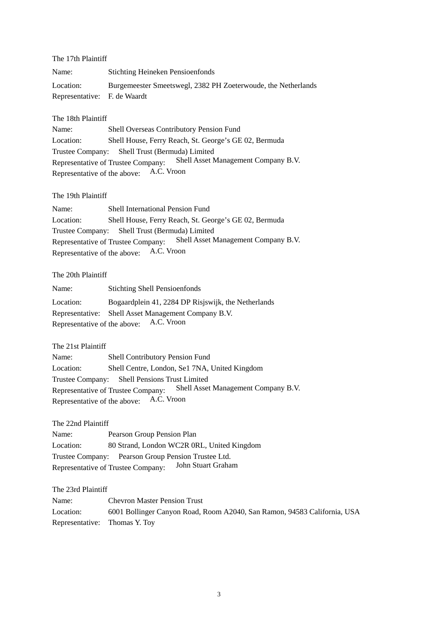| The 17th Plaintiff           |                                                               |
|------------------------------|---------------------------------------------------------------|
| Name:                        | <b>Stichting Heineken Pensioenfonds</b>                       |
| Location:                    | Burgemeester Smeetswegl, 2382 PH Zoeterwoude, the Netherlands |
| Representative: F. de Waardt |                                                               |

The 18th Plaintiff

Name: Shell Overseas Contributory Pension Fund Location: Shell House, Ferry Reach, St. George's GE 02, Bermuda Trustee Company: Shell Trust (Bermuda) Limited Representative of Trustee Company: Shell Asset Management Company B.V. Representative of the above: A.C. Vroon

The 19th Plaintiff

Name: Shell International Pension Fund Location: Shell House, Ferry Reach, St. George's GE 02, Bermuda Trustee Company: Shell Trust (Bermuda) Limited Representative of Trustee Company: Shell Asset Management Company B.V. Representative of the above: A.C. Vroon

The 20th Plaintiff

Name: Stichting Shell Pensioenfonds

Location: Bogaardplein 41, 2284 DP Risjswijk, the Netherlands Representative: Shell Asset Management Company B.V. Representative of the above: A.C. Vroon

The 21st Plaintiff

Name: Shell Contributory Pension Fund Location: Shell Centre, London, Se1 7NA, United Kingdom Trustee Company: Shell Pensions Trust Limited Representative of Trustee Company: Shell Asset Management Company B.V. Representative of the above: A.C. Vroon

The 22nd Plaintiff

Name: Pearson Group Pension Plan Location: 80 Strand, London WC2R 0RL, United Kingdom Trustee Company: Pearson Group Pension Trustee Ltd. Representative of Trustee Company: John Stuart Graham

The 23rd Plaintiff

Name: Chevron Master Pension Trust Location: 6001 Bollinger Canyon Road, Room A2040, San Ramon, 94583 California, USA Representative: Thomas Y. Toy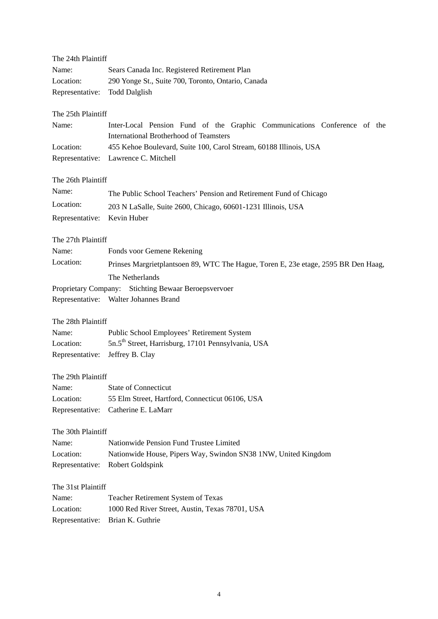| The 24th Plaintiff |                                                                                                                           |  |
|--------------------|---------------------------------------------------------------------------------------------------------------------------|--|
| Name:              | Sears Canada Inc. Registered Retirement Plan                                                                              |  |
| Location:          | 290 Yonge St., Suite 700, Toronto, Ontario, Canada                                                                        |  |
| Representative:    | <b>Todd Dalglish</b>                                                                                                      |  |
| The 25th Plaintiff |                                                                                                                           |  |
| Name:              | Inter-Local Pension Fund of the Graphic Communications Conference of the<br><b>International Brotherhood of Teamsters</b> |  |
| Location:          | 455 Kehoe Boulevard, Suite 100, Carol Stream, 60188 Illinois, USA                                                         |  |
| Representative:    | Lawrence C. Mitchell                                                                                                      |  |
| The 26th Plaintiff |                                                                                                                           |  |
| Name:              | The Public School Teachers' Pension and Retirement Fund of Chicago                                                        |  |
| Location:          | 203 N LaSalle, Suite 2600, Chicago, 60601-1231 Illinois, USA                                                              |  |
| Representative:    | Kevin Huber                                                                                                               |  |
| The 27th Plaintiff |                                                                                                                           |  |
| Name:              | Fonds voor Gemene Rekening                                                                                                |  |
| Location:          | Prinses Margrietplantsoen 89, WTC The Hague, Toren E, 23e etage, 2595 BR Den Haag,                                        |  |
|                    | The Netherlands                                                                                                           |  |
|                    | Proprietary Company: Stichting Bewaar Beroepsvervoer                                                                      |  |
|                    | Representative: Walter Johannes Brand                                                                                     |  |
| The 28th Plaintiff |                                                                                                                           |  |
| Name:              | Public School Employees' Retirement System                                                                                |  |
| Location:          | 5n.5 <sup>th</sup> Street, Harrisburg, 17101 Pennsylvania, USA                                                            |  |
| Representative:    | Jeffrey B. Clay                                                                                                           |  |
| The 29th Plaintiff |                                                                                                                           |  |
| Name:              | <b>State of Connecticut</b>                                                                                               |  |
| Location:          | 55 Elm Street, Hartford, Connecticut 06106, USA                                                                           |  |
| Representative:    | Catherine E. LaMarr                                                                                                       |  |
| The 30th Plaintiff |                                                                                                                           |  |
| Name:              | Nationwide Pension Fund Trustee Limited                                                                                   |  |
| Location:          | Nationwide House, Pipers Way, Swindon SN38 1NW, United Kingdom                                                            |  |
| Representative:    | Robert Goldspink                                                                                                          |  |
| The 31st Plaintiff |                                                                                                                           |  |
| Name:              | Teacher Retirement System of Texas                                                                                        |  |
| Location:          | 1000 Red River Street, Austin, Texas 78701, USA                                                                           |  |
| Representative:    | Brian K. Guthrie                                                                                                          |  |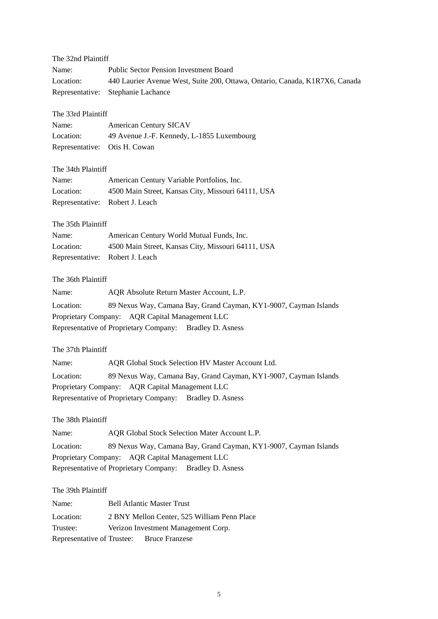## The 32nd Plaintiff

| Name:     | <b>Public Sector Pension Investment Board</b>                               |
|-----------|-----------------------------------------------------------------------------|
| Location: | 440 Laurier Avenue West, Suite 200, Ottawa, Ontario, Canada, K1R7X6, Canada |
|           | Representative: Stephanie Lachance                                          |

#### The 33rd Plaintiff

| Name:                         | <b>American Century SICAV</b>              |
|-------------------------------|--------------------------------------------|
| Location:                     | 49 Avenue J.-F. Kennedy, L-1855 Luxembourg |
| Representative: Otis H. Cowan |                                            |

## The 34th Plaintiff

| Name:                           | American Century Variable Portfolios, Inc.         |
|---------------------------------|----------------------------------------------------|
| Location:                       | 4500 Main Street, Kansas City, Missouri 64111, USA |
| Representative: Robert J. Leach |                                                    |

## The 35th Plaintiff

| Name:                           | American Century World Mutual Funds, Inc.          |
|---------------------------------|----------------------------------------------------|
| Location:                       | 4500 Main Street, Kansas City, Missouri 64111, USA |
| Representative: Robert J. Leach |                                                    |

## The 36th Plaintiff

| Name:                                           | AQR Absolute Return Master Account, L.P.                         |  |
|-------------------------------------------------|------------------------------------------------------------------|--|
| Location:                                       | 89 Nexus Way, Camana Bay, Grand Cayman, KY1-9007, Cayman Islands |  |
| Proprietary Company: AQR Capital Management LLC |                                                                  |  |
|                                                 | Representative of Proprietary Company: Bradley D. Asness         |  |

## The 37th Plaintiff

| Name:                                           | AQR Global Stock Selection HV Master Account Ltd.                |  |
|-------------------------------------------------|------------------------------------------------------------------|--|
| Location:                                       | 89 Nexus Way, Camana Bay, Grand Cayman, KY1-9007, Cayman Islands |  |
| Proprietary Company: AQR Capital Management LLC |                                                                  |  |
|                                                 | Representative of Proprietary Company: Bradley D. Asness         |  |

## The 38th Plaintiff

Name: AQR Global Stock Selection Mater Account L.P. Location: 89 Nexus Way, Camana Bay, Grand Cayman, KY1-9007, Cayman Islands Proprietary Company: AQR Capital Management LLC Representative of Proprietary Company: Bradley D. Asness

# The 39th Plaintiff

| Name:     | <b>Bell Atlantic Master Trust</b>           |
|-----------|---------------------------------------------|
| Location: | 2 BNY Mellon Center, 525 William Penn Place |
| Trustee:  | Verizon Investment Management Corp.         |
|           | Representative of Trustee: Bruce Franzese   |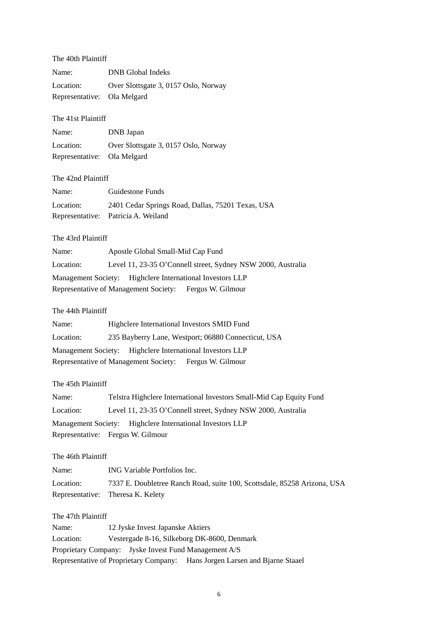## The 40th Plaintiff

| Name:                       | <b>DNB</b> Global Indeks             |
|-----------------------------|--------------------------------------|
| Location:                   | Over Slottsgate 3, 0157 Oslo, Norway |
| Representative: Ola Melgard |                                      |

## The 41st Plaintiff

| Name:                       | DNB Japan                            |
|-----------------------------|--------------------------------------|
| Location:                   | Over Slottsgate 3, 0157 Oslo, Norway |
| Representative: Ola Melgard |                                      |

## The 42nd Plaintiff

| Name:     | Guidestone Funds                                  |
|-----------|---------------------------------------------------|
| Location: | 2401 Cedar Springs Road, Dallas, 75201 Texas, USA |
|           | Representative: Patricia A. Weiland               |

# The 43rd Plaintiff

| Name:     | Apostle Global Small-Mid Cap Fund                            |  |
|-----------|--------------------------------------------------------------|--|
| Location: | Level 11, 23-35 O'Connell street, Sydney NSW 2000, Australia |  |
|           | Management Society: Highclere International Investors LLP    |  |
|           | Representative of Management Society: Fergus W. Gilmour      |  |

# The 44th Plaintiff

| Name:     | Highclere International Investors SMID Fund                |
|-----------|------------------------------------------------------------|
| Location: | 235 Bayberry Lane, Westport; 06880 Connecticut, USA        |
|           | Management Society: Highclere International Investors LLP  |
|           | Representative of Management Society:<br>Fergus W. Gilmour |

## The 45th Plaintiff

| Name:     | Telstra Highclere International Investors Small-Mid Cap Equity Fund |  |
|-----------|---------------------------------------------------------------------|--|
| Location: | Level 11, 23-35 O'Connell street, Sydney NSW 2000, Australia        |  |
|           | Management Society: Highclere International Investors LLP           |  |
|           | Representative: Fergus W. Gilmour                                   |  |

# The 46th Plaintiff

| Name:     | ING Variable Portfolios Inc.                                             |
|-----------|--------------------------------------------------------------------------|
| Location: | 7337 E. Doubletree Ranch Road, suite 100, Scottsdale, 85258 Arizona, USA |
|           | Representative: Theresa K. Kelety                                        |

### The 47th Plaintiff

| Name:     | 12 Jyske Invest Japanske Aktiers                                            |
|-----------|-----------------------------------------------------------------------------|
| Location: | Vestergade 8-16, Silkeborg DK-8600, Denmark                                 |
|           | Proprietary Company: Jyske Invest Fund Management A/S                       |
|           | Representative of Proprietary Company: Hans Jorgen Larsen and Bjarne Staael |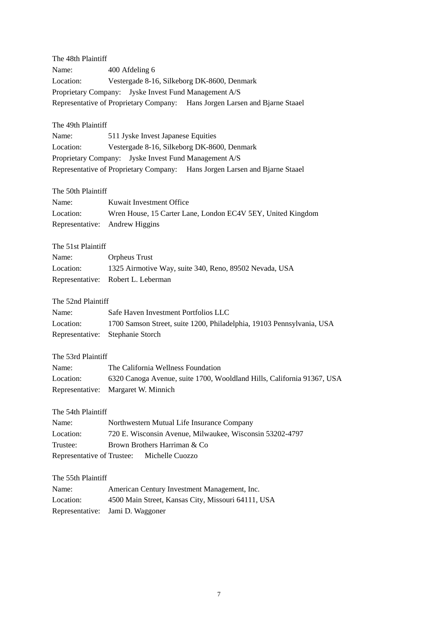| The 48th Plaintiff             |                                                                             |
|--------------------------------|-----------------------------------------------------------------------------|
| Name:                          | 400 Afdeling 6                                                              |
| Location:                      | Vestergade 8-16, Silkeborg DK-8600, Denmark                                 |
|                                | Proprietary Company: Jyske Invest Fund Management A/S                       |
|                                | Representative of Proprietary Company: Hans Jorgen Larsen and Bjarne Staael |
| The 49th Plaintiff             |                                                                             |
| Name:                          | 511 Jyske Invest Japanese Equities                                          |
| Location:                      | Vestergade 8-16, Silkeborg DK-8600, Denmark                                 |
|                                | Proprietary Company: Jyske Invest Fund Management A/S                       |
|                                | Representative of Proprietary Company: Hans Jorgen Larsen and Bjarne Staael |
| The 50th Plaintiff             |                                                                             |
| Name:                          | Kuwait Investment Office                                                    |
| Location:                      | Wren House, 15 Carter Lane, London EC4V 5EY, United Kingdom                 |
| Representative: Andrew Higgins |                                                                             |
| The 51st Plaintiff             |                                                                             |
| Name:                          | <b>Orpheus Trust</b>                                                        |
| Location:                      | 1325 Airmotive Way, suite 340, Reno, 89502 Nevada, USA                      |
|                                | Representative: Robert L. Leberman                                          |
| The 52nd Plaintiff             |                                                                             |
| Name:                          | Safe Haven Investment Portfolios LLC                                        |
| Location:                      | 1700 Samson Street, suite 1200, Philadelphia, 19103 Pennsylvania, USA       |
| Representative:                | Stephanie Storch                                                            |
| The 53rd Plaintiff             |                                                                             |
| Name:                          | The California Wellness Foundation                                          |
| Location:                      | 6320 Canoga Avenue, suite 1700, Wooldland Hills, California 91367, USA      |
|                                | Representative: Margaret W. Minnich                                         |
| The 54th Plaintiff             |                                                                             |
| Name:                          | Northwestern Mutual Life Insurance Company                                  |
| Location:                      | 720 E. Wisconsin Avenue, Milwaukee, Wisconsin 53202-4797                    |
| Trustee:                       | Brown Brothers Harriman & Co                                                |
| Representative of Trustee:     | Michelle Cuozzo                                                             |
| The 55th Plaintiff             |                                                                             |
| Name:                          | American Century Investment Management, Inc.                                |
| Location:                      | 4500 Main Street, Kansas City, Missouri 64111, USA                          |
| Representative:                | Jami D. Waggoner                                                            |
|                                |                                                                             |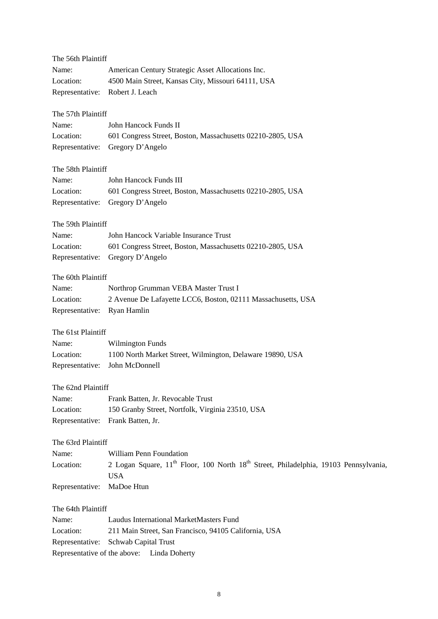| The 56th Plaintiff |                                                                                                                            |
|--------------------|----------------------------------------------------------------------------------------------------------------------------|
| Name:              | American Century Strategic Asset Allocations Inc.                                                                          |
| Location:          | 4500 Main Street, Kansas City, Missouri 64111, USA                                                                         |
| Representative:    | Robert J. Leach                                                                                                            |
| The 57th Plaintiff |                                                                                                                            |
| Name:              | John Hancock Funds II                                                                                                      |
| Location:          | 601 Congress Street, Boston, Massachusetts 02210-2805, USA                                                                 |
| Representative:    | Gregory D'Angelo                                                                                                           |
| The 58th Plaintiff |                                                                                                                            |
| Name:              | John Hancock Funds III                                                                                                     |
| Location:          | 601 Congress Street, Boston, Massachusetts 02210-2805, USA                                                                 |
| Representative:    | Gregory D'Angelo                                                                                                           |
| The 59th Plaintiff |                                                                                                                            |
| Name:              | John Hancock Variable Insurance Trust                                                                                      |
| Location:          | 601 Congress Street, Boston, Massachusetts 02210-2805, USA                                                                 |
| Representative:    | Gregory D'Angelo                                                                                                           |
| The 60th Plaintiff |                                                                                                                            |
| Name:              | Northrop Grumman VEBA Master Trust I                                                                                       |
| Location:          | 2 Avenue De Lafayette LCC6, Boston, 02111 Massachusetts, USA                                                               |
| Representative:    | Ryan Hamlin                                                                                                                |
| The 61st Plaintiff |                                                                                                                            |
| Name:              | <b>Wilmington Funds</b>                                                                                                    |
| Location:          | 1100 North Market Street, Wilmington, Delaware 19890, USA                                                                  |
| Representative:    | John McDonnell                                                                                                             |
| The 62nd Plaintiff |                                                                                                                            |
| Name:              | Frank Batten, Jr. Revocable Trust                                                                                          |
| Location:          | 150 Granby Street, Nortfolk, Virginia 23510, USA                                                                           |
| Representative:    | Frank Batten, Jr.                                                                                                          |
| The 63rd Plaintiff |                                                                                                                            |
| Name:              | William Penn Foundation                                                                                                    |
| Location:          | 2 Logan Square, 11 <sup>th</sup> Floor, 100 North 18 <sup>th</sup> Street, Philadelphia, 19103 Pennsylvania,<br><b>USA</b> |
| Representative:    | MaDoe Htun                                                                                                                 |
| The 64th Plaintiff |                                                                                                                            |
| Name:              | <b>Laudus International MarketMasters Fund</b>                                                                             |
| Location:          | 211 Main Street, San Francisco, 94105 California, USA                                                                      |
| Representative:    | Schwab Capital Trust                                                                                                       |

Representative of the above: Linda Doherty